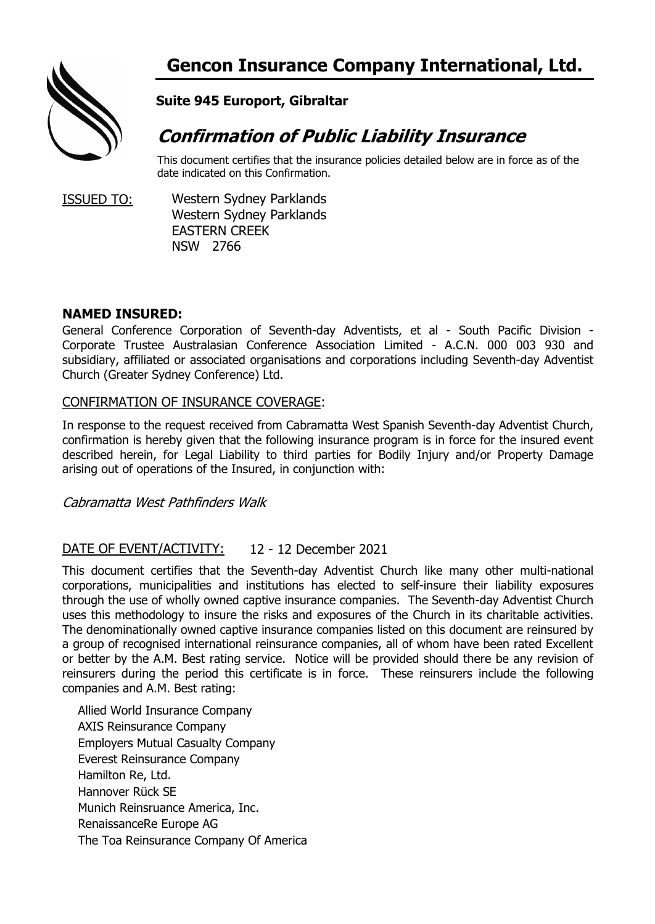

# **Suite 945 Europort, Gibraltar**

# **Confirmation of Public Liability Insurance**

This document certifies that the insurance policies detailed below are in force as of the date indicated on this Confirmation.

ISSUED TO: Western Sydney Parklands Western Sydney Parklands EASTERN CREEK NSW 2766

# **NAMED INSURED:**

General Conference Corporation of Seventh-day Adventists, et al - South Pacific Division - Corporate Trustee Australasian Conference Association Limited - A.C.N. 000 003 930 and subsidiary, affiliated or associated organisations and corporations including Seventh-day Adventist Church (Greater Sydney Conference) Ltd.

# CONFIRMATION OF INSURANCE COVERAGE:

In response to the request received from Cabramatta West Spanish Seventh-day Adventist Church, confirmation is hereby given that the following insurance program is in force for the insured event described herein, for Legal Liability to third parties for Bodily Injury and/or Property Damage arising out of operations of the Insured, in conjunction with:

Cabramatta West Pathfinders Walk

#### 12 - 12 December 2021 DATE OF EVENT/ACTIVITY:

This document certifies that the Seventh-day Adventist Church like many other multi-national corporations, municipalities and institutions has elected to self-insure their liability exposures through the use of wholly owned captive insurance companies. The Seventh-day Adventist Church uses this methodology to insure the risks and exposures of the Church in its charitable activities. The denominationally owned captive insurance companies listed on this document are reinsured by a group of recognised international reinsurance companies, all of whom have been rated Excellent or better by the A.M. Best rating service. Notice will be provided should there be any revision of reinsurers during the period this certificate is in force. These reinsurers include the following companies and A.M. Best rating:

Allied World Insurance Company AXIS Reinsurance Company Employers Mutual Casualty Company Everest Reinsurance Company Hamilton Re, Ltd. Hannover Rück SE Munich Reinsruance America, Inc. RenaissanceRe Europe AG The Toa Reinsurance Company Of America